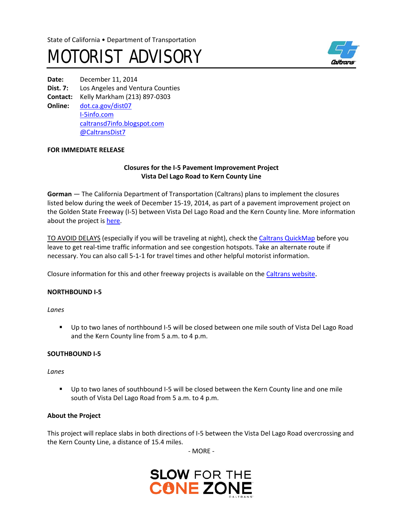# MOTORIST ADVISORY



**Date:** December 11, 2014 **Dist. 7:** Los Angeles and Ventura Counties **Contact:** Kelly Markham (213) 897-0303 **Online:** [dot.ca.gov/dist07](http://www.dot.ca.gov/dist07) I-[5info.com](http://www.i-5info.com/) [caltransd7info.blogspot.com](https://caltransd7info.blogspot.com/) @CaltransDist7

## **FOR IMMEDIATE RELEASE**

## **Closures for the I-5 Pavement Improvement Project Vista Del Lago Road to Kern County Line**

**Gorman** — The California Department of Transportation (Caltrans) plans to implement the closures listed below during the week of December 15-19, 2014, as part of a pavement improvement project on the Golden State Freeway (I-5) between Vista Del Lago Road and the Kern County line. More information about the project is [here](http://i-5info.com/vista-del-lago-road-to-the-kern-county-line/).

TO AVOID DELAYS (especially if you will be traveling at night), check the Calt[rans QuickMap](http://quickmap.dot.ca.gov/) before you leave to get real-time traffic information and see congestion hotspots. Take an alternate route if necessary. You can also call 5-1-1 for travel times and other helpful motorist information.

Closure information for this and other freeway projects is available on th[e Caltrans website](http://www.lcswebreports.dot.ca.gov/lcswebreports/SearchPreAction.do?district=7).

#### **NORTHBOUND I-5**

*Lanes*

 Up to two lanes of northbound I-5 will be closed between one mile south of Vista Del Lago Road and the Kern County line from 5 a.m. to 4 p.m.

#### **SOUTHBOUND I-5**

#### *Lanes*

 Up to two lanes of southbound I-5 will be closed between the Kern County line and one mile south of Vista Del Lago Road from 5 a.m. to 4 p.m.

#### **About the Project**

This project will replace slabs in both directions of I-5 between the Vista Del Lago Road overcrossing and the Kern County Line, a distance of 15.4 miles.

- MORE -